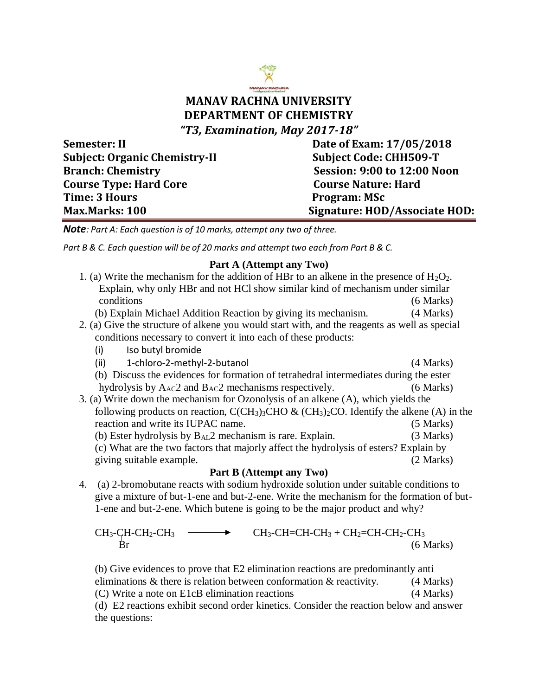## **MANAV RACHNA UNIVERSITY DEPARTMENT OF CHEMISTRY** *"T3, Examination, May 2017-18"*

Subject: Organic Chemistry-II Subject Code: CHH509-T **Branch: Chemistry Session: 9:00 to 12:00 Noon Course Type: Hard Core Course Nature: Hard Time: 3 Hours Program: MSc** 

**Semester: II** Date of Exam:  $17/05/2018$ **Max.Marks: 100 Signature: HOD/Associate HOD:**

*Note: Part A: Each question is of 10 marks, attempt any two of three.*

*Part B & C. Each question will be of 20 marks and attempt two each from Part B & C.*

## **Part A (Attempt any Two)**

| 1. (a) Write the mechanism for the addition of HBr to an alkene in the presence of $H_2O_2$ .                                                                                                                                                                                                                                                                                                                                                                                              |             |
|--------------------------------------------------------------------------------------------------------------------------------------------------------------------------------------------------------------------------------------------------------------------------------------------------------------------------------------------------------------------------------------------------------------------------------------------------------------------------------------------|-------------|
| Explain, why only HBr and not HCl show similar kind of mechanism under similar                                                                                                                                                                                                                                                                                                                                                                                                             |             |
| conditions                                                                                                                                                                                                                                                                                                                                                                                                                                                                                 | (6 Marks)   |
| (b) Explain Michael Addition Reaction by giving its mechanism.                                                                                                                                                                                                                                                                                                                                                                                                                             | (4 Marks)   |
| 2. (a) Give the structure of alkene you would start with, and the reagents as well as special                                                                                                                                                                                                                                                                                                                                                                                              |             |
| conditions necessary to convert it into each of these products:                                                                                                                                                                                                                                                                                                                                                                                                                            |             |
| Iso butyl bromide<br>(i)                                                                                                                                                                                                                                                                                                                                                                                                                                                                   |             |
| 1-chloro-2-methyl-2-butanol<br>(ii)                                                                                                                                                                                                                                                                                                                                                                                                                                                        | (4 Marks)   |
| (b) Discuss the evidences for formation of tetrahedral intermediates during the ester                                                                                                                                                                                                                                                                                                                                                                                                      |             |
| hydrolysis by $A_{AC}$ and $B_{AC}$ mechanisms respectively.                                                                                                                                                                                                                                                                                                                                                                                                                               | (6 Marks)   |
| 3. (a) Write down the mechanism for Ozonolysis of an alkene (A), which yields the                                                                                                                                                                                                                                                                                                                                                                                                          |             |
| following products on reaction, $CCH_3$ <sub>3</sub> CHO & (CH <sub>3</sub> ) <sub>2</sub> CO. Identify the alkene (A) in the                                                                                                                                                                                                                                                                                                                                                              |             |
| reaction and write its IUPAC name.                                                                                                                                                                                                                                                                                                                                                                                                                                                         | $(5$ Marks) |
| (b) Ester hydrolysis by $B_{AL}2$ mechanism is rare. Explain.                                                                                                                                                                                                                                                                                                                                                                                                                              | (3 Marks)   |
| (c) What are the two factors that majorly affect the hydrolysis of esters? Explain by                                                                                                                                                                                                                                                                                                                                                                                                      |             |
| giving suitable example.                                                                                                                                                                                                                                                                                                                                                                                                                                                                   | (2 Marks)   |
| Part B (Attempt any Two)                                                                                                                                                                                                                                                                                                                                                                                                                                                                   |             |
| $\blacksquare$ $\blacksquare$ $\blacksquare$ $\blacksquare$ $\blacksquare$ $\blacksquare$ $\blacksquare$ $\blacksquare$ $\blacksquare$ $\blacksquare$ $\blacksquare$ $\blacksquare$ $\blacksquare$ $\blacksquare$ $\blacksquare$ $\blacksquare$ $\blacksquare$ $\blacksquare$ $\blacksquare$ $\blacksquare$ $\blacksquare$ $\blacksquare$ $\blacksquare$ $\blacksquare$ $\blacksquare$ $\blacksquare$ $\blacksquare$ $\blacksquare$ $\blacksquare$ $\blacksquare$ $\blacksquare$ $\blacks$ |             |

4. (a) 2-bromobutane reacts with sodium hydroxide solution under suitable conditions to give a mixture of but-1-ene and but-2-ene. Write the mechanism for the formation of but-1-ene and but-2-ene. Which butene is going to be the major product and why?

$$
CH_3-CH-CH_2-CH_3 \longrightarrow CH_3-CH=CH-CH_3 + CH_2=CH-CH_2-CH_3
$$
\n
$$
Br \tag{6 Marks}
$$

(b) Give evidences to prove that E2 elimination reactions are predominantly anti eliminations  $\&$  there is relation between conformation  $\&$  reactivity. (4 Marks) (C) Write a note on E1cB elimination reactions (4 Marks) (d) E2 reactions exhibit second order kinetics. Consider the reaction below and answer the questions: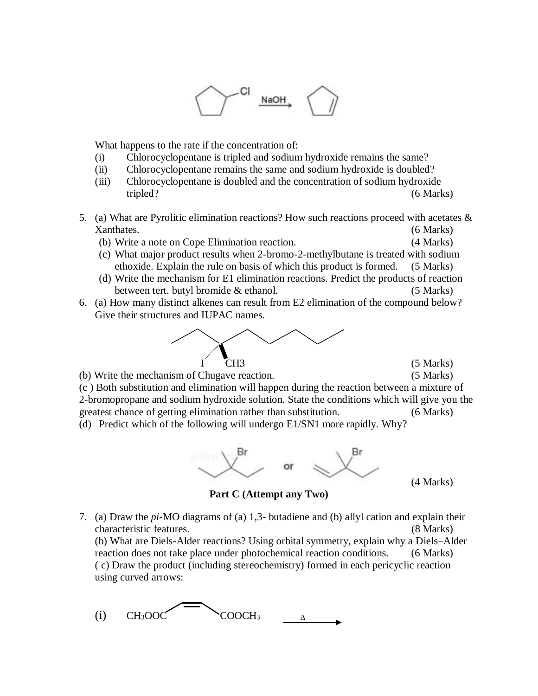

What happens to the rate if the concentration of:

- (i) Chlorocyclopentane is tripled and sodium hydroxide remains the same?
- (ii) Chlorocyclopentane remains the same and sodium hydroxide is doubled?
- (iii) Chlorocyclopentane is doubled and the concentration of sodium hydroxide tripled? (6 Marks)
- 5. (a) What are Pyrolitic elimination reactions? How such reactions proceed with acetates & Xanthates. (6 Marks)
	- (b) Write a note on Cope Elimination reaction. (4 Marks)
	- (c) What major product results when 2-bromo-2-methylbutane is treated with sodium ethoxide. Explain the rule on basis of which this product is formed. (5 Marks)
	- (d) Write the mechanism for E1 elimination reactions. Predict the products of reaction between tert. butyl bromide & ethanol. (5 Marks)
- 6. (a) How many distinct alkenes can result from E2 elimination of the compound below? Give their structures and IUPAC names.



(b) Write the mechanism of Chugave reaction. (5 Marks) (c ) Both substitution and elimination will happen during the reaction between a mixture of 2-bromopropane and sodium hydroxide solution. State the conditions which will give you the greatest chance of getting elimination rather than substitution. (6 Marks)

(d) Predict which of the following will undergo E1/SN1 more rapidly. Why?



(4 Marks)

**Part C (Attempt any Two)**

7. (a) Draw the *pi*-MO diagrams of (a) 1,3- butadiene and (b) allyl cation and explain their characteristic features. (8 Marks) (b) What are Diels-Alder reactions? Using orbital symmetry, explain why a Diels–Alder reaction does not take place under photochemical reaction conditions. (6 Marks) ( c) Draw the product (including stereochemistry) formed in each pericyclic reaction

using curved arrows: